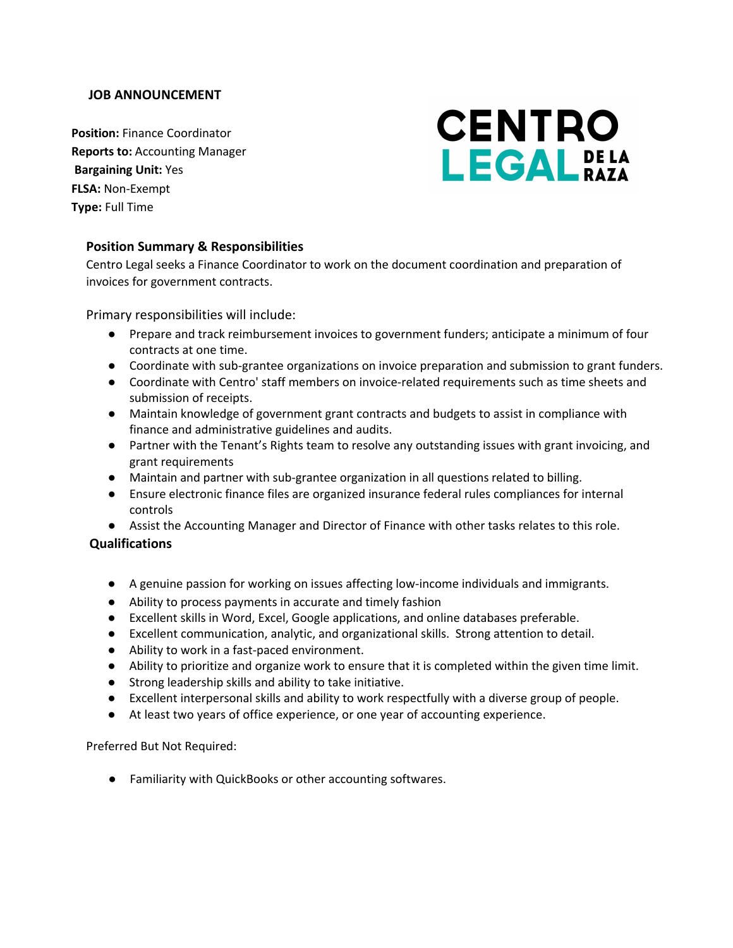## **JOB ANNOUNCEMENT**

**Position:** Finance Coordinator **Reports to:** Accounting Manager **Bargaining Unit:** Yes **FLSA:** Non-Exempt **Type:** Full Time

# **CENTRO** LEGALPELA

# **Position Summary & Responsibilities**

Centro Legal seeks a Finance Coordinator to work on the document coordination and preparation of invoices for government contracts.

Primary responsibilities will include:

- Prepare and track reimbursement invoices to government funders; anticipate a minimum of four contracts at one time.
- Coordinate with sub-grantee organizations on invoice preparation and submission to grant funders.
- Coordinate with Centro' staff members on invoice-related requirements such as time sheets and submission of receipts.
- Maintain knowledge of government grant contracts and budgets to assist in compliance with finance and administrative guidelines and audits.
- Partner with the Tenant's Rights team to resolve any outstanding issues with grant invoicing, and grant requirements
- Maintain and partner with sub-grantee organization in all questions related to billing.
- Ensure electronic finance files are organized insurance federal rules compliances for internal controls
- Assist the Accounting Manager and Director of Finance with other tasks relates to this role.

# **Qualifications**

- A genuine passion for working on issues affecting low-income individuals and immigrants.
- Ability to process payments in accurate and timely fashion
- Excellent skills in Word, Excel, Google applications, and online databases preferable.
- Excellent communication, analytic, and organizational skills. Strong attention to detail.
- Ability to work in a fast-paced environment.
- Ability to prioritize and organize work to ensure that it is completed within the given time limit.
- Strong leadership skills and ability to take initiative.
- Excellent interpersonal skills and ability to work respectfully with a diverse group of people.
- At least two years of office experience, or one year of accounting experience.

Preferred But Not Required:

● Familiarity with QuickBooks or other accounting softwares.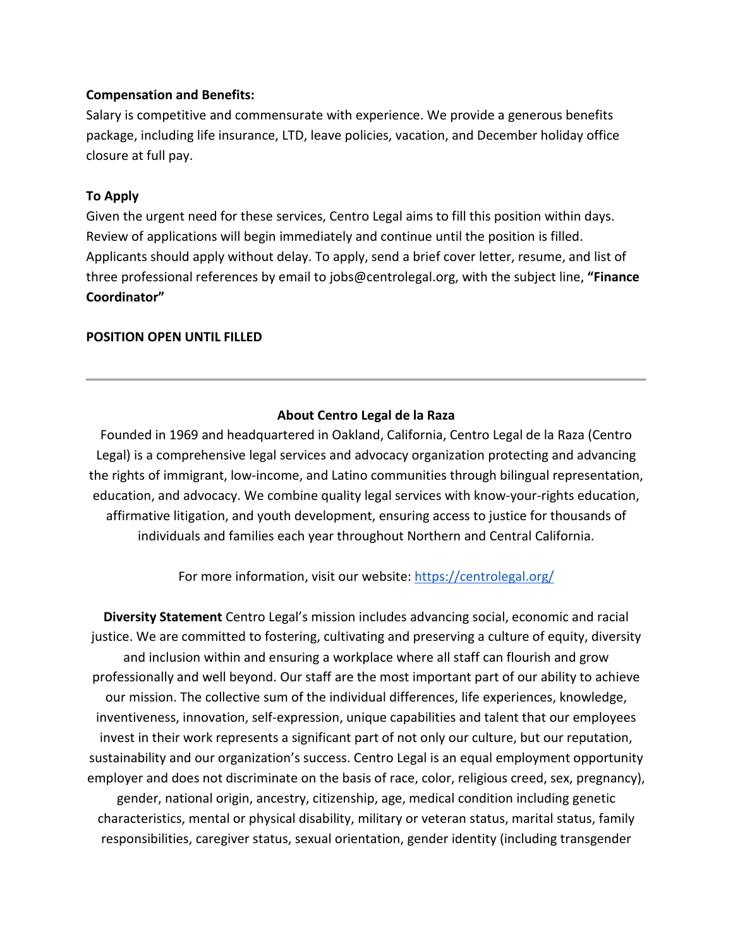## **Compensation and Benefits:**

Salary is competitive and commensurate with experience. We provide a generous benefits package, including life insurance, LTD, leave policies, vacation, and December holiday office closure at full pay.

## **To Apply**

Given the urgent need for these services, Centro Legal aims to fill this position within days. Review of applications will begin immediately and continue until the position is filled. Applicants should apply without delay. To apply, send a brief cover letter, resume, and list of three professional references by email to jobs@centrolegal.org, with the subject line, **"Finance Coordinator"**

#### **POSITION OPEN UNTIL FILLED**

# **About Centro Legal de la Raza**

Founded in 1969 and headquartered in Oakland, California, Centro Legal de la Raza (Centro Legal) is a comprehensive legal services and advocacy organization protecting and advancing the rights of immigrant, low-income, and Latino communities through bilingual representation, education, and advocacy. We combine quality legal services with know-your-rights education, affirmative litigation, and youth development, ensuring access to justice for thousands of individuals and families each year throughout Northern and Central California.

For more information, visit our website:<https://centrolegal.org/>

**Diversity Statement** Centro Legal's mission includes advancing social, economic and racial justice. We are committed to fostering, cultivating and preserving a culture of equity, diversity and inclusion within and ensuring a workplace where all staff can flourish and grow professionally and well beyond. Our staff are the most important part of our ability to achieve our mission. The collective sum of the individual differences, life experiences, knowledge, inventiveness, innovation, self-expression, unique capabilities and talent that our employees invest in their work represents a significant part of not only our culture, but our reputation, sustainability and our organization's success. Centro Legal is an equal employment opportunity employer and does not discriminate on the basis of race, color, religious creed, sex, pregnancy), gender, national origin, ancestry, citizenship, age, medical condition including genetic characteristics, mental or physical disability, military or veteran status, marital status, family responsibilities, caregiver status, sexual orientation, gender identity (including transgender